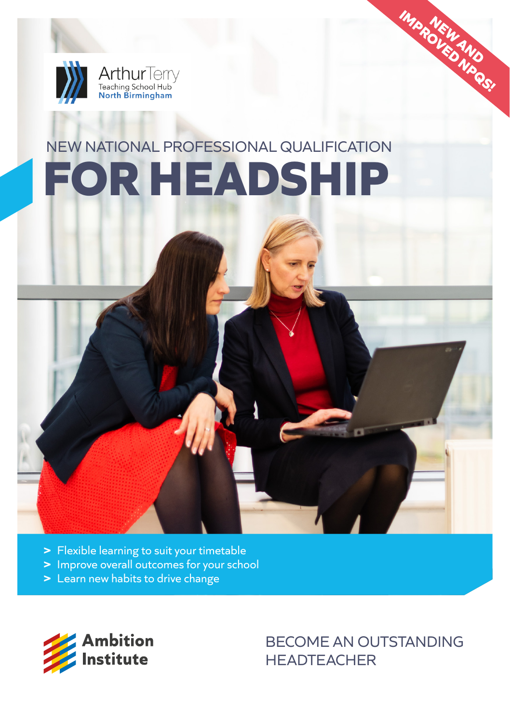

# NEW NATIONAL PROFESSIONAL QUALIFICATION **FOR HEADSHIP**



- **>** Improve overall outcomes for your school
- **>** Learn new habits to drive change



BECOME AN OUTSTANDING **HEADTEACHER** 

**IMPROVEMENTO NPQS!**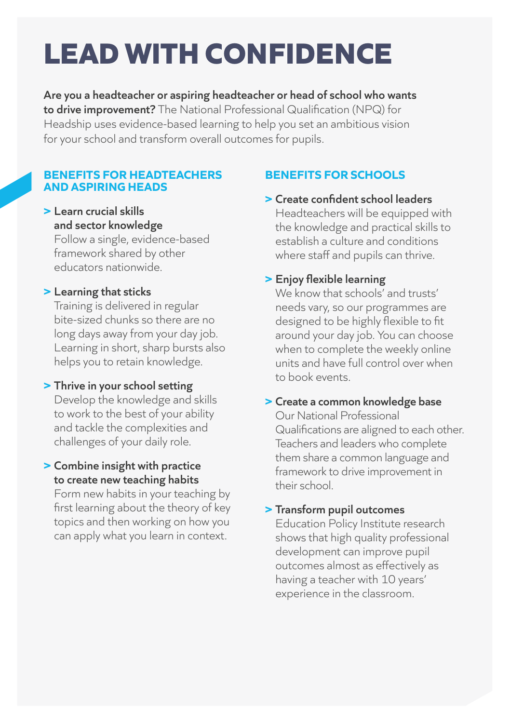# **LEAD WITH CONFIDENCE**

**Are you a headteacher or aspiring headteacher or head of school who wants to drive improvement?** The National Professional Qualification (NPQ) for Headship uses evidence-based learning to help you set an ambitious vision for your school and transform overall outcomes for pupils.

### **BENEFITS FOR HEADTEACHERS AND ASPIRING HEADS**

# **> Learn crucial skills and sector knowledge**

Follow a single, evidence-based framework shared by other educators nationwide.

# **> Learning that sticks**

Training is delivered in regular bite-sized chunks so there are no long days away from your day job. Learning in short, sharp bursts also helps you to retain knowledge.

## **> Thrive in your school setting**

Develop the knowledge and skills to work to the best of your ability and tackle the complexities and challenges of your daily role.

# **> Combine insight with practice to create new teaching habits**

Form new habits in your teaching by first learning about the theory of key topics and then working on how you can apply what you learn in context.

# **BENEFITS FOR SCHOOLS**

## **> Create confident school leaders** Headteachers will be equipped with the knowledge and practical skills to establish a culture and conditions where staff and pupils can thrive.

# **> Enjoy flexible learning**

We know that schools' and trusts' needs vary, so our programmes are designed to be highly flexible to fit around your day job. You can choose when to complete the weekly online units and have full control over when to book events.

# **> Create a common knowledge base**

Our National Professional Qualifications are aligned to each other. Teachers and leaders who complete them share a common language and framework to drive improvement in their school.

# **> Transform pupil outcomes**

Education Policy Institute research shows that high quality professional development can improve pupil outcomes almost as effectively as having a teacher with 10 years' experience in the classroom.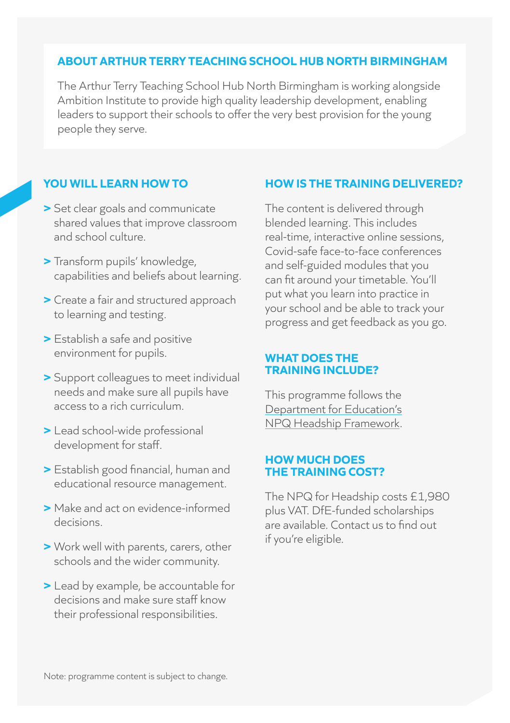## **ABOUT ARTHUR TERRY TEACHING SCHOOL HUB NORTH BIRMINGHAM**

The Arthur Terry Teaching School Hub North Birmingham is working alongside Ambition Institute to provide high quality leadership development, enabling leaders to support their schools to offer the very best provision for the young people they serve.

# **YOU WILL LEARN HOW TO**

- **>** Set clear goals and communicate shared values that improve classroom and school culture.
- **>** Transform pupils' knowledge, capabilities and beliefs about learning.
- **>** Create a fair and structured approach to learning and testing.
- **>** Establish a safe and positive environment for pupils.
- **>** Support colleagues to meet individual needs and make sure all pupils have access to a rich curriculum.
- **>** Lead school-wide professional development for staff.
- **>** Establish good financial, human and educational resource management.
- **>** Make and act on evidence-informed decisions.
- **>** Work well with parents, carers, other schools and the wider community.
- **>** Lead by example, be accountable for decisions and make sure staff know their professional responsibilities.

## **HOW IS THE TRAINING DELIVERED?**

The content is delivered through blended learning. This includes real-time, interactive online sessions, Covid-safe face-to-face conferences and self-guided modules that you can fit around your timetable. You'll put what you learn into practice in your school and be able to track your progress and get feedback as you go.

#### **WHAT DOES THE TRAINING INCLUDE?**

This programme follows the [Department for Education's](https://assets.publishing.service.gov.uk/government/uploads/system/uploads/attachment_data/file/925507/NPQ_Headship.pdf) [NPQ Headship Framework.](https://assets.publishing.service.gov.uk/government/uploads/system/uploads/attachment_data/file/925507/NPQ_Headship.pdf) 

### **HOW MUCH DOES THE TRAINING COST?**

The NPQ for Headship costs £1,980 plus VAT. DfE-funded scholarships are available. Contact us to find out if you're eligible.